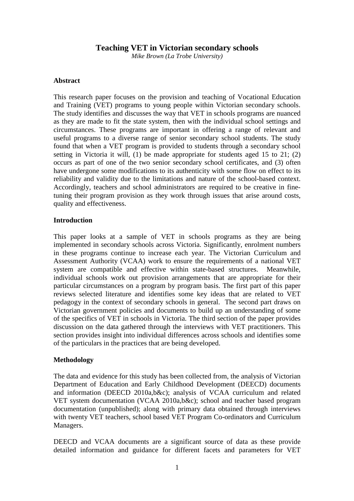# **Teaching VET in Victorian secondary schools**

*Mike Brown (La Trobe University)* 

## **Abstract**

This research paper focuses on the provision and teaching of Vocational Education and Training (VET) programs to young people within Victorian secondary schools. The study identifies and discusses the way that VET in schools programs are nuanced as they are made to fit the state system, then with the individual school settings and circumstances. These programs are important in offering a range of relevant and useful programs to a diverse range of senior secondary school students. The study found that when a VET program is provided to students through a secondary school setting in Victoria it will, (1) be made appropriate for students aged 15 to 21; (2) occurs as part of one of the two senior secondary school certificates, and (3) often have undergone some modifications to its authenticity with some flow on effect to its reliability and validity due to the limitations and nature of the school-based context. Accordingly, teachers and school administrators are required to be creative in finetuning their program provision as they work through issues that arise around costs, quality and effectiveness.

## **Introduction**

This paper looks at a sample of VET in schools programs as they are being implemented in secondary schools across Victoria. Significantly, enrolment numbers in these programs continue to increase each year. The Victorian Curriculum and Assessment Authority (VCAA) work to ensure the requirements of a national VET system are compatible and effective within state-based structures. Meanwhile, individual schools work out provision arrangements that are appropriate for their particular circumstances on a program by program basis. The first part of this paper reviews selected literature and identifies some key ideas that are related to VET pedagogy in the context of secondary schools in general. The second part draws on Victorian government policies and documents to build up an understanding of some of the specifics of VET in schools in Victoria. The third section of the paper provides discussion on the data gathered through the interviews with VET practitioners. This section provides insight into individual differences across schools and identifies some of the particulars in the practices that are being developed.

# **Methodology**

The data and evidence for this study has been collected from, the analysis of Victorian Department of Education and Early Childhood Development (DEECD) documents and information (DEECD 2010a,b&c); analysis of VCAA curriculum and related VET system documentation (VCAA 2010a,b&c); school and teacher based program documentation (unpublished); along with primary data obtained through interviews with twenty VET teachers, school based VET Program Co-ordinators and Curriculum Managers.

DEECD and VCAA documents are a significant source of data as these provide detailed information and guidance for different facets and parameters for VET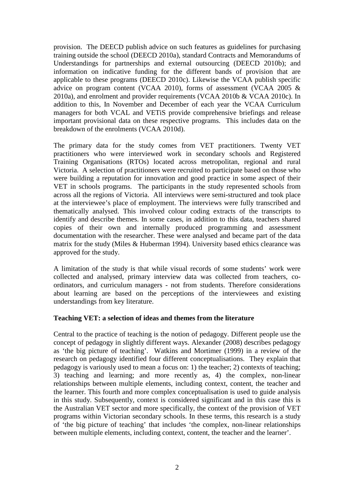provision. The DEECD publish advice on such features as guidelines for purchasing training outside the school (DEECD 2010a), standard Contracts and Memorandums of Understandings for partnerships and external outsourcing (DEECD 2010b); and information on indicative funding for the different bands of provision that are applicable to these programs (DEECD 2010c). Likewise the VCAA publish specific advice on program content (VCAA 2010), forms of assessment (VCAA 2005 & 2010a), and enrolment and provider requirements (VCAA 2010b & VCAA 2010c). In addition to this, In November and December of each year the VCAA Curriculum managers for both VCAL and VETiS provide comprehensive briefings and release important provisional data on these respective programs. This includes data on the breakdown of the enrolments (VCAA 2010d).

The primary data for the study comes from VET practitioners. Twenty VET practitioners who were interviewed work in secondary schools and Registered Training Organisations (RTOs) located across metropolitan, regional and rural Victoria. A selection of practitioners were recruited to participate based on those who were building a reputation for innovation and good practice in some aspect of their VET in schools programs. The participants in the study represented schools from across all the regions of Victoria. All interviews were semi-structured and took place at the interviewee's place of employment. The interviews were fully transcribed and thematically analysed. This involved colour coding extracts of the transcripts to identify and describe themes. In some cases, in addition to this data, teachers shared copies of their own and internally produced programming and assessment documentation with the researcher. These were analysed and became part of the data matrix for the study (Miles & Huberman 1994). University based ethics clearance was approved for the study.

A limitation of the study is that while visual records of some students' work were collected and analysed, primary interview data was collected from teachers, coordinators, and curriculum managers - not from students. Therefore considerations about learning are based on the perceptions of the interviewees and existing understandings from key literature.

# **Teaching VET: a selection of ideas and themes from the literature**

Central to the practice of teaching is the notion of pedagogy. Different people use the concept of pedagogy in slightly different ways. Alexander (2008) describes pedagogy as 'the big picture of teaching'. Watkins and Mortimer (1999) in a review of the research on pedagogy identified four different conceptualisations. They explain that pedagogy is variously used to mean a focus on: 1) the teacher; 2) contexts of teaching; 3) teaching and learning; and more recently as, 4) the complex, non-linear relationships between multiple elements, including context, content, the teacher and the learner. This fourth and more complex conceptualisation is used to guide analysis in this study. Subsequently, context is considered significant and in this case this is the Australian VET sector and more specifically, the context of the provision of VET programs within Victorian secondary schools. In these terms, this research is a study of 'the big picture of teaching' that includes 'the complex, non-linear relationships between multiple elements, including context, content, the teacher and the learner'.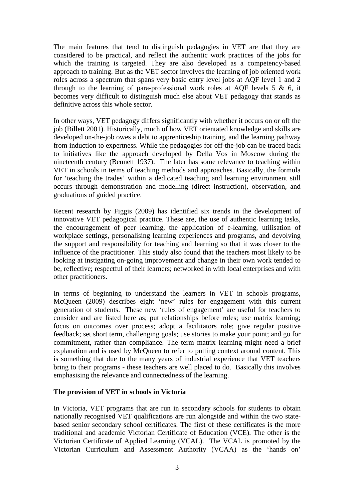The main features that tend to distinguish pedagogies in VET are that they are considered to be practical, and reflect the authentic work practices of the jobs for which the training is targeted. They are also developed as a competency-based approach to training. But as the VET sector involves the learning of job oriented work roles across a spectrum that spans very basic entry level jobs at AQF level 1 and 2 through to the learning of para-professional work roles at AQF levels  $5 \& 6$ , it becomes very difficult to distinguish much else about VET pedagogy that stands as definitive across this whole sector.

In other ways, VET pedagogy differs significantly with whether it occurs on or off the job (Billett 2001). Historically, much of how VET orientated knowledge and skills are developed on-the-job owes a debt to apprenticeship training, and the learning pathway from induction to expertness. While the pedagogies for off-the-job can be traced back to initiatives like the approach developed by Della Vos in Moscow during the nineteenth century (Bennett 1937). The later has some relevance to teaching within VET in schools in terms of teaching methods and approaches. Basically, the formula for 'teaching the trades' within a dedicated teaching and learning environment still occurs through demonstration and modelling (direct instruction), observation, and graduations of guided practice.

Recent research by Figgis (2009) has identified six trends in the development of innovative VET pedagogical practice. These are, the use of authentic learning tasks, the encouragement of peer learning, the application of e-learning, utilisation of workplace settings, personalising learning experiences and programs, and devolving the support and responsibility for teaching and learning so that it was closer to the influence of the practitioner. This study also found that the teachers most likely to be looking at instigating on-going improvement and change in their own work tended to be, reflective; respectful of their learners; networked in with local enterprises and with other practitioners.

In terms of beginning to understand the learners in VET in schools programs, McQueen (2009) describes eight 'new' rules for engagement with this current generation of students. These new 'rules of engagement' are useful for teachers to consider and are listed here as; put relationships before roles; use matrix learning; focus on outcomes over process; adopt a facilitators role; give regular positive feedback; set short term, challenging goals; use stories to make your point; and go for commitment, rather than compliance. The term matrix learning might need a brief explanation and is used by McQueen to refer to putting context around content. This is something that due to the many years of industrial experience that VET teachers bring to their programs - these teachers are well placed to do. Basically this involves emphasising the relevance and connectedness of the learning.

# **The provision of VET in schools in Victoria**

In Victoria, VET programs that are run in secondary schools for students to obtain nationally recognised VET qualifications are run alongside and within the two statebased senior secondary school certificates. The first of these certificates is the more traditional and academic Victorian Certificate of Education (VCE). The other is the Victorian Certificate of Applied Learning (VCAL). The VCAL is promoted by the Victorian Curriculum and Assessment Authority (VCAA) as the 'hands on'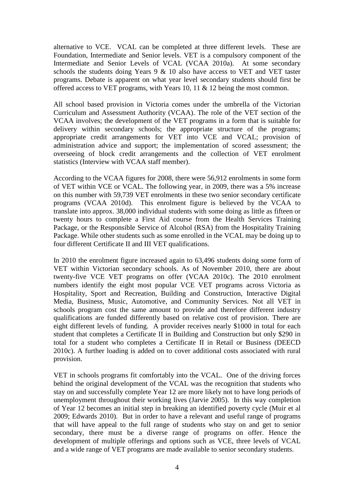alternative to VCE. VCAL can be completed at three different levels. These are Foundation, Intermediate and Senior levels. VET is a compulsory component of the Intermediate and Senior Levels of VCAL (VCAA 2010a). At some secondary schools the students doing Years 9 & 10 also have access to VET and VET taster programs. Debate is apparent on what year level secondary students should first be offered access to VET programs, with Years 10, 11 & 12 being the most common.

All school based provision in Victoria comes under the umbrella of the Victorian Curriculum and Assessment Authority (VCAA). The role of the VET section of the VCAA involves; the development of the VET programs in a form that is suitable for delivery within secondary schools; the appropriate structure of the programs; appropriate credit arrangements for VET into VCE and VCAL; provision of administration advice and support; the implementation of scored assessment; the overseeing of block credit arrangements and the collection of VET enrolment statistics (Interview with VCAA staff member).

According to the VCAA figures for 2008, there were 56,912 enrolments in some form of VET within VCE or VCAL. The following year, in 2009, there was a 5% increase on this number with 59,739 VET enrolments in these two senior secondary certificate programs (VCAA 2010d). This enrolment figure is believed by the VCAA to translate into approx. 38,000 individual students with some doing as little as fifteen or twenty hours to complete a First Aid course from the Health Services Training Package, or the Responsible Service of Alcohol (RSA) from the Hospitality Training Package. While other students such as some enrolled in the VCAL may be doing up to four different Certificate II and III VET qualifications.

In 2010 the enrolment figure increased again to 63,496 students doing some form of VET within Victorian secondary schools. As of November 2010, there are about twenty-five VCE VET programs on offer (VCAA 2010c). The 2010 enrolment numbers identify the eight most popular VCE VET programs across Victoria as Hospitality, Sport and Recreation, Building and Construction, Interactive Digital Media, Business, Music, Automotive, and Community Services. Not all VET in schools program cost the same amount to provide and therefore different industry qualifications are funded differently based on relative cost of provision. There are eight different levels of funding. A provider receives nearly \$1000 in total for each student that completes a Certificate II in Building and Construction but only \$290 in total for a student who completes a Certificate II in Retail or Business (DEECD 2010c). A further loading is added on to cover additional costs associated with rural provision.

VET in schools programs fit comfortably into the VCAL. One of the driving forces behind the original development of the VCAL was the recognition that students who stay on and successfully complete Year 12 are more likely not to have long periods of unemployment throughout their working lives (Jarvie 2005). In this way completion of Year 12 becomes an initial step in breaking an identified poverty cycle (Muir et al 2009; Edwards 2010). But in order to have a relevant and useful range of programs that will have appeal to the full range of students who stay on and get to senior secondary, there must be a diverse range of programs on offer. Hence the development of multiple offerings and options such as VCE, three levels of VCAL and a wide range of VET programs are made available to senior secondary students.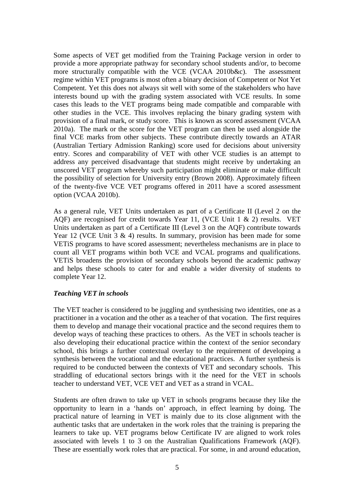Some aspects of VET get modified from the Training Package version in order to provide a more appropriate pathway for secondary school students and/or, to become more structurally compatible with the VCE (VCAA 2010b&c). The assessment regime within VET programs is most often a binary decision of Competent or Not Yet Competent. Yet this does not always sit well with some of the stakeholders who have interests bound up with the grading system associated with VCE results. In some cases this leads to the VET programs being made compatible and comparable with other studies in the VCE. This involves replacing the binary grading system with provision of a final mark, or study score. This is known as scored assessment (VCAA 2010a). The mark or the score for the VET program can then be used alongside the final VCE marks from other subjects. These contribute directly towards an ATAR (Australian Tertiary Admission Ranking) score used for decisions about university entry. Scores and comparability of VET with other VCE studies is an attempt to address any perceived disadvantage that students might receive by undertaking an unscored VET program whereby such participation might eliminate or make difficult the possibility of selection for University entry (Brown 2008). Approximately fifteen of the twenty-five VCE VET programs offered in 2011 have a scored assessment option (VCAA 2010b).

As a general rule, VET Units undertaken as part of a Certificate II (Level 2 on the AQF) are recognised for credit towards Year 11, (VCE Unit 1 & 2) results. VET Units undertaken as part of a Certificate III (Level 3 on the AQF) contribute towards Year 12 (VCE Unit  $3 \& 4$ ) results. In summary, provision has been made for some VETiS programs to have scored assessment; nevertheless mechanisms are in place to count all VET programs within both VCE and VCAL programs and qualifications. VETiS broadens the provision of secondary schools beyond the academic pathway and helps these schools to cater for and enable a wider diversity of students to complete Year 12.

# *Teaching VET in schools*

The VET teacher is considered to be juggling and synthesising two identities, one as a practitioner in a vocation and the other as a teacher of that vocation. The first requires them to develop and manage their vocational practice and the second requires them to develop ways of teaching these practices to others. As the VET in schools teacher is also developing their educational practice within the context of the senior secondary school, this brings a further contextual overlay to the requirement of developing a synthesis between the vocational and the educational practices. A further synthesis is required to be conducted between the contexts of VET and secondary schools. This straddling of educational sectors brings with it the need for the VET in schools teacher to understand VET, VCE VET and VET as a strand in VCAL.

Students are often drawn to take up VET in schools programs because they like the opportunity to learn in a 'hands on' approach, in effect learning by doing. The practical nature of learning in VET is mainly due to its close alignment with the authentic tasks that are undertaken in the work roles that the training is preparing the learners to take up. VET programs below Certificate IV are aligned to work roles associated with levels 1 to 3 on the Australian Qualifications Framework (AQF). These are essentially work roles that are practical. For some, in and around education,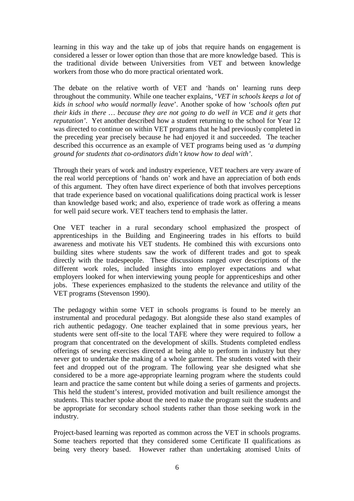learning in this way and the take up of jobs that require hands on engagement is considered a lesser or lower option than those that are more knowledge based. This is the traditional divide between Universities from VET and between knowledge workers from those who do more practical orientated work.

The debate on the relative worth of VET and 'hands on' learning runs deep throughout the community. While one teacher explains, '*VET in schools keeps a lot of kids in school who would normally leave*'. Another spoke of how '*schools often put their kids in there … because they are not going to do well in VCE and it gets that reputation'*. Yet another described how a student returning to the school for Year 12 was directed to continue on within VET programs that he had previously completed in the preceding year precisely because he had enjoyed it and succeeded. The teacher described this occurrence as an example of VET programs being used as *'a dumping ground for students that co-ordinators didn't know how to deal with'*.

Through their years of work and industry experience, VET teachers are very aware of the real world perceptions of 'hands on' work and have an appreciation of both ends of this argument. They often have direct experience of both that involves perceptions that trade experience based on vocational qualifications doing practical work is lesser than knowledge based work; and also, experience of trade work as offering a means for well paid secure work. VET teachers tend to emphasis the latter.

One VET teacher in a rural secondary school emphasized the prospect of apprenticeships in the Building and Engineering trades in his efforts to build awareness and motivate his VET students. He combined this with excursions onto building sites where students saw the work of different trades and got to speak directly with the tradespeople. These discussions ranged over descriptions of the different work roles, included insights into employer expectations and what employers looked for when interviewing young people for apprenticeships and other jobs. These experiences emphasized to the students the relevance and utility of the VET programs (Stevenson 1990).

The pedagogy within some VET in schools programs is found to be merely an instrumental and procedural pedagogy. But alongside these also stand examples of rich authentic pedagogy. One teacher explained that in some previous years, her students were sent off-site to the local TAFE where they were required to follow a program that concentrated on the development of skills. Students completed endless offerings of sewing exercises directed at being able to perform in industry but they never got to undertake the making of a whole garment. The students voted with their feet and dropped out of the program. The following year she designed what she considered to be a more age-appropriate learning program where the students could learn and practice the same content but while doing a series of garments and projects. This held the student's interest, provided motivation and built resilience amongst the students. This teacher spoke about the need to make the program suit the students and be appropriate for secondary school students rather than those seeking work in the industry.

Project-based learning was reported as common across the VET in schools programs. Some teachers reported that they considered some Certificate II qualifications as being very theory based. However rather than undertaking atomised Units of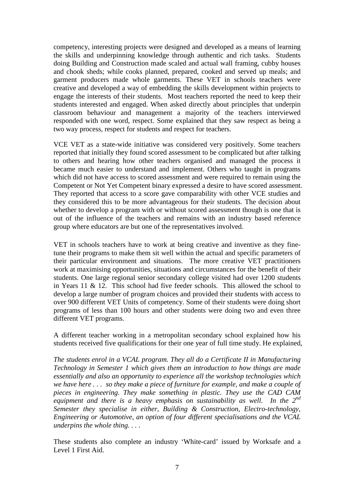competency, interesting projects were designed and developed as a means of learning the skills and underpinning knowledge through authentic and rich tasks. Students doing Building and Construction made scaled and actual wall framing, cubby houses and chook sheds; while cooks planned, prepared, cooked and served up meals; and garment producers made whole garments. These VET in schools teachers were creative and developed a way of embedding the skills development within projects to engage the interests of their students. Most teachers reported the need to keep their students interested and engaged. When asked directly about principles that underpin classroom behaviour and management a majority of the teachers interviewed responded with one word, respect. Some explained that they saw respect as being a two way process, respect for students and respect for teachers.

VCE VET as a state-wide initiative was considered very positively. Some teachers reported that initially they found scored assessment to be complicated but after talking to others and hearing how other teachers organised and managed the process it became much easier to understand and implement. Others who taught in programs which did not have access to scored assessment and were required to remain using the Competent or Not Yet Competent binary expressed a desire to have scored assessment. They reported that access to a score gave comparability with other VCE studies and they considered this to be more advantageous for their students. The decision about whether to develop a program with or without scored assessment though is one that is out of the influence of the teachers and remains with an industry based reference group where educators are but one of the representatives involved.

VET in schools teachers have to work at being creative and inventive as they finetune their programs to make them sit well within the actual and specific parameters of their particular environment and situations. The more creative VET practitioners work at maximising opportunities, situations and circumstances for the benefit of their students. One large regional senior secondary college visited had over 1200 students in Years 11 & 12. This school had five feeder schools. This allowed the school to develop a large number of program choices and provided their students with access to over 900 different VET Units of competency. Some of their students were doing short programs of less than 100 hours and other students were doing two and even three different VET programs.

A different teacher working in a metropolitan secondary school explained how his students received five qualifications for their one year of full time study. He explained,

*The students enrol in a VCAL program. They all do a Certificate II in Manufacturing Technology in Semester 1 which gives them an introduction to how things are made essentially and also an opportunity to experience all the workshop technologies which we have here . . . so they make a piece of furniture for example, and make a couple of pieces in engineering. They make something in plastic. They use the CAD CAM equipment and there is a heavy emphasis on sustainability as well. In the 2nd Semester they specialise in either, Building & Construction, Electro-technology, Engineering or Automotive, an option of four different specialisations and the VCAL underpins the whole thing. . . .* 

These students also complete an industry 'White-card' issued by Worksafe and a Level 1 First Aid.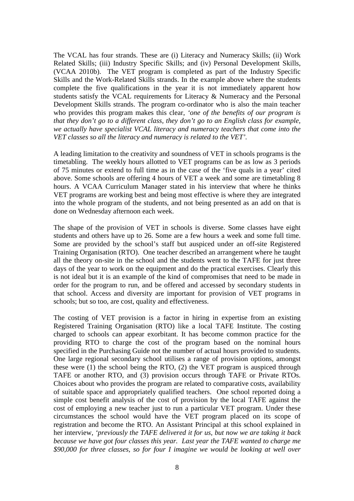The VCAL has four strands. These are (i) Literacy and Numeracy Skills; (ii) Work Related Skills; (iii) Industry Specific Skills; and (iv) Personal Development Skills, (VCAA 2010b). The VET program is completed as part of the Industry Specific Skills and the Work-Related Skills strands. In the example above where the students complete the five qualifications in the year it is not immediately apparent how students satisfy the VCAL requirements for Literacy & Numeracy and the Personal Development Skills strands. The program co-ordinator who is also the main teacher who provides this program makes this clear, *'one of the benefits of our program is that they don't go to a different class, they don't go to an English class for example, we actually have specialist VCAL literacy and numeracy teachers that come into the VET classes so all the literacy and numeracy is related to the VET'.*

A leading limitation to the creativity and soundness of VET in schools programs is the timetabling. The weekly hours allotted to VET programs can be as low as 3 periods of 75 minutes or extend to full time as in the case of the 'five quals in a year' cited above. Some schools are offering 4 hours of VET a week and some are timetabling 8 hours. A VCAA Curriculum Manager stated in his interview that where he thinks VET programs are working best and being most effective is where they are integrated into the whole program of the students, and not being presented as an add on that is done on Wednesday afternoon each week.

The shape of the provision of VET in schools is diverse. Some classes have eight students and others have up to 26. Some are a few hours a week and some full time. Some are provided by the school's staff but auspiced under an off-site Registered Training Organisation (RTO). One teacher described an arrangement where he taught all the theory on-site in the school and the students went to the TAFE for just three days of the year to work on the equipment and do the practical exercises. Clearly this is not ideal but it is an example of the kind of compromises that need to be made in order for the program to run, and be offered and accessed by secondary students in that school. Access and diversity are important for provision of VET programs in schools; but so too, are cost, quality and effectiveness.

The costing of VET provision is a factor in hiring in expertise from an existing Registered Training Organisation (RTO) like a local TAFE Institute. The costing charged to schools can appear exorbitant. It has become common practice for the providing RTO to charge the cost of the program based on the nominal hours specified in the Purchasing Guide not the number of actual hours provided to students. One large regional secondary school utilises a range of provision options, amongst these were (1) the school being the RTO, (2) the VET program is auspiced through TAFE or another RTO, and (3) provision occurs through TAFE or Private RTOs. Choices about who provides the program are related to comparative costs, availability of suitable space and appropriately qualified teachers. One school reported doing a simple cost benefit analysis of the cost of provision by the local TAFE against the cost of employing a new teacher just to run a particular VET program. Under these circumstances the school would have the VET program placed on its scope of registration and become the RTO. An Assistant Principal at this school explained in her interview, *'previously the TAFE delivered it for us, but now we are taking it back because we have got four classes this year. Last year the TAFE wanted to charge me \$90,000 for three classes, so for four I imagine we would be looking at well over*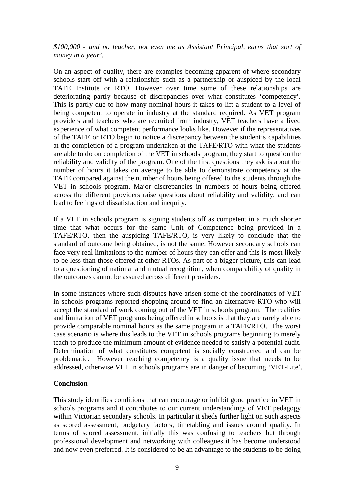*\$100,000 - and no teacher, not even me as Assistant Principal, earns that sort of money in a year'.*

On an aspect of quality, there are examples becoming apparent of where secondary schools start off with a relationship such as a partnership or auspiced by the local TAFE Institute or RTO. However over time some of these relationships are deteriorating partly because of discrepancies over what constitutes 'competency'. This is partly due to how many nominal hours it takes to lift a student to a level of being competent to operate in industry at the standard required. As VET program providers and teachers who are recruited from industry, VET teachers have a lived experience of what competent performance looks like. However if the representatives of the TAFE or RTO begin to notice a discrepancy between the student's capabilities at the completion of a program undertaken at the TAFE/RTO with what the students are able to do on completion of the VET in schools program, they start to question the reliability and validity of the program. One of the first questions they ask is about the number of hours it takes on average to be able to demonstrate competency at the TAFE compared against the number of hours being offered to the students through the VET in schools program. Major discrepancies in numbers of hours being offered across the different providers raise questions about reliability and validity, and can lead to feelings of dissatisfaction and inequity.

If a VET in schools program is signing students off as competent in a much shorter time that what occurs for the same Unit of Competence being provided in a TAFE/RTO, then the auspicing TAFE/RTO, is very likely to conclude that the standard of outcome being obtained, is not the same. However secondary schools can face very real limitations to the number of hours they can offer and this is most likely to be less than those offered at other RTOs. As part of a bigger picture, this can lead to a questioning of national and mutual recognition, when comparability of quality in the outcomes cannot be assured across different providers.

In some instances where such disputes have arisen some of the coordinators of VET in schools programs reported shopping around to find an alternative RTO who will accept the standard of work coming out of the VET in schools program. The realities and limitation of VET programs being offered in schools is that they are rarely able to provide comparable nominal hours as the same program in a TAFE/RTO. The worst case scenario is where this leads to the VET in schools programs beginning to merely teach to produce the minimum amount of evidence needed to satisfy a potential audit. Determination of what constitutes competent is socially constructed and can be problematic. However reaching competency is a quality issue that needs to be addressed, otherwise VET in schools programs are in danger of becoming 'VET-Lite'.

# **Conclusion**

This study identifies conditions that can encourage or inhibit good practice in VET in schools programs and it contributes to our current understandings of VET pedagogy within Victorian secondary schools. In particular it sheds further light on such aspects as scored assessment, budgetary factors, timetabling and issues around quality. In terms of scored assessment, initially this was confusing to teachers but through professional development and networking with colleagues it has become understood and now even preferred. It is considered to be an advantage to the students to be doing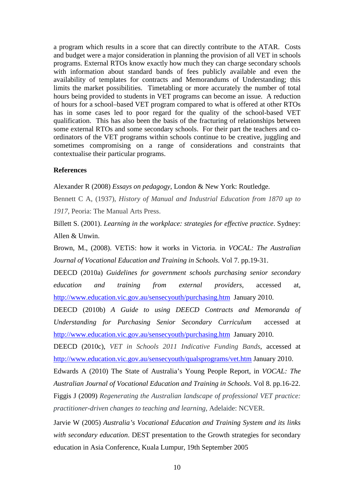a program which results in a score that can directly contribute to the ATAR. Costs and budget were a major consideration in planning the provision of all VET in schools programs. External RTOs know exactly how much they can charge secondary schools with information about standard bands of fees publicly available and even the availability of templates for contracts and Memorandums of Understanding; this limits the market possibilities. Timetabling or more accurately the number of total hours being provided to students in VET programs can become an issue. A reduction of hours for a school–based VET program compared to what is offered at other RTOs has in some cases led to poor regard for the quality of the school-based VET qualification. This has also been the basis of the fracturing of relationships between some external RTOs and some secondary schools. For their part the teachers and coordinators of the VET programs within schools continue to be creative, juggling and sometimes compromising on a range of considerations and constraints that contextualise their particular programs.

## **References**

Alexander R (2008) *Essays on pedagogy*, London & New York: Routledge.

Bennett C A, (1937), *History of Manual and Industrial Education from 1870 up to 1917*, Peoria: The Manual Arts Press.

Billett S. (2001). *Learning in the workplace: strategies for effective practice*. Sydney: Allen & Unwin.

Brown, M., (2008). VETiS: how it works in Victoria. in *VOCAL: The Australian Journal of Vocational Education and Training in Schools*. Vol 7. pp.19-31.

DEECD (2010a) *Guidelines for government schools purchasing senior secondary education and training from external providers*, accessed at, http://www.education.vic.gov.au/sensecyouth/purchasing.htm January 2010.

DEECD (2010b) *A Guide to using DEECD Contracts and Memoranda of Understanding for Purchasing Senior Secondary Curriculum* accessed at http://www.education.vic.gov.au/sensecyouth/purchasing.htm January 2010.

DEECD (2010c), *VET in Schools 2011 Indicative Funding Bands*, accessed at http://www.education.vic.gov.au/sensecyouth/qualsprograms/vet.htm January 2010.

Edwards A (2010) The State of Australia's Young People Report, in *VOCAL: The Australian Journal of Vocational Education and Training in Schools*. Vol 8. pp.16-22.

Figgis J (2009) *Regenerating the Australian landscape of professional VET practice: practitioner-driven changes to teaching and learning*, Adelaide: NCVER.

Jarvie W (2005) *Australia's Vocational Education and Training System and its links with secondary education*. DEST presentation to the Growth strategies for secondary education in Asia Conference, Kuala Lumpur, 19th September 2005